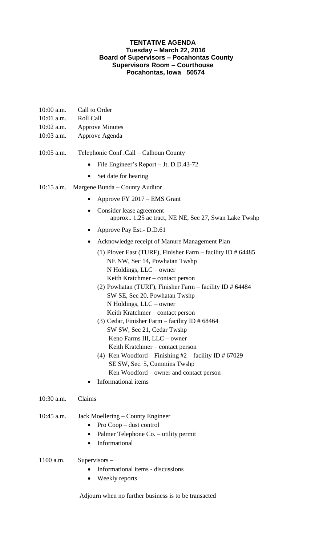## **TENTATIVE AGENDA Tuesday – March 22, 2016 Board of Supervisors – Pocahontas County Supervisors Room – Courthouse Pocahontas, Iowa 50574**

- 10:00 a.m. Call to Order
- 10:01 a.m. Roll Call
- 10:02 a.m. Approve Minutes
- 10:03 a.m. Approve Agenda
- 10:05 a.m. Telephonic Conf .Call Calhoun County
	- File Engineer's Report Jt. D.D.43-72
	- Set date for hearing
- 10:15 a.m. Margene Bunda County Auditor
	- Approve FY 2017 EMS Grant
	- Consider lease agreement approx.. 1.25 ac tract, NE NE, Sec 27, Swan Lake Twshp
	- Approve Pay Est. D.D.61
	- Acknowledge receipt of Manure Management Plan
		- (1) Plover East (TURF), Finisher Farm facility ID # 64485 NE NW, Sec 14, Powhatan Twshp N Holdings, LLC – owner Keith Kratchmer – contact person
		- (2) Powhatan (TURF), Finisher Farm facility ID # 64484 SW SE, Sec 20, Powhatan Twshp N Holdings, LLC – owner Keith Kratchmer – contact person
		- (3) Cedar, Finisher Farm facility ID # 68464 SW SW, Sec 21, Cedar Twshp Keno Farms III, LLC – owner Keith Kratchmer – contact person
		- (4) Ken Woodford Finishing  $#2$  facility ID  $#67029$ SE SW, Sec. 5, Cummins Twshp Ken Woodford – owner and contact person
	- Informational items
- 10:30 a.m. Claims

## 10:45 a.m. Jack Moellering – County Engineer

- Pro Coop dust control
- Palmer Telephone Co. utility permit
- Informational
- 1100 a.m. Supervisors
	- Informational items discussions
	- Weekly reports

Adjourn when no further business is to be transacted